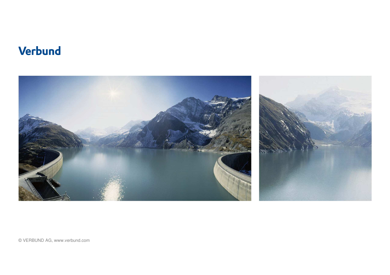### **Verbund**



© VERBUND AG, www.verbund.com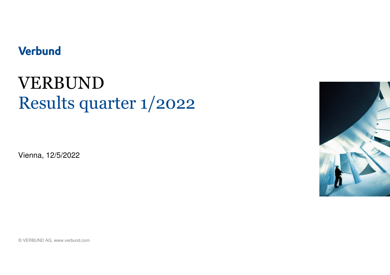### **Verbund**

# VERBUNDResults quarter 1/2022

Vienna, 12/5/2022



© VERBUND AG, www.verbund.com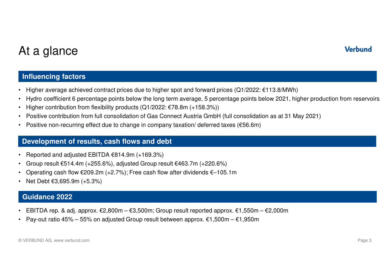## At a glance

#### **Influencing factors**

- •Higher average achieved contract prices due to higher spot and forward prices (Q1/2022: €113.8/MWh)
- •Hydro coefficient 6 percentage points below the long term average, 5 percentage points below 2021, higher production from reservoirs
- •Higher contribution from flexibility products (Q1/2022: €78.8m (+158.3%))
- •Positive contribution from full consolidation of Gas Connect Austria GmbH (full consolidation as at 31 May 2021)
- •Positive non-recurring effect due to change in company taxation/ deferred taxes (€56.6m)

#### **Development of results, cash flows and debt**

- •Reported and adjusted EBITDA €814.9m (+169.3%)
- •Group result €514.4m (+255.6%), adjusted Group result €463.7m (+220.6%)
- •Operating cash flow €209.2m (+2.7%); Free cash flow after dividends €–105.1m
- •Net Debt €3,695.9m (+5.3%)

#### **Guidance 2022**

- •EBITDA rep. & adj. approx. €2,800m – €3,500m; Group result reported approx. €1,550m – €2,000m
- •Pay-out ratio 45% – 55% on adjusted Group result between approx. €1,500m – €1,950m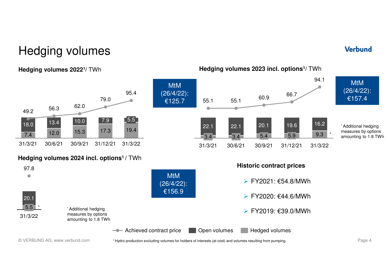### Hedging volumes

#### **Hedging volumes 20221/** TWh



#### **Hedging volumes 2024 incl. options1 /** TWh



MtM (26/4/22):€125.7

55.1

22.1

3.4

31/3/21

30/6/21

3.4

22.1

55.1

#### **Verbund**

MtM (26/4/22):€157.4

**Hedging volumes 2023 incl. options<sup>1</sup>/** TWh

60.9

20.1

 $5.4$ 

30/9/21

 $5.9$ <sup> $-$ </sup>

31/12/21

19.6

66.7

31/3/22

9.3

\*

16.2

94.1

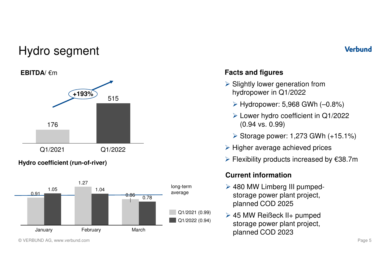### Hydro segment

#### **EBITDA/** €m



#### **Hydro coefficient (run-of-river)**



#### **Verbund**

### **Facts and figures**

- Slightly lower generation from<br>bydropower in Q1/2000 hydropower in Q1/2022
	- Hydropower: 5,968 GWh (–0.8%)
	- ► Lower hydro coefficient in Q1/2022 (0.94 vs. 0.99)
	- Storage power: 1,273 GWh (+15.1%)
- $\triangleright$  Higher average achieved prices
- Flexibility products increased by €38.7m

#### **Current information**

- ► 480 MW Limberg III pumpedstorage power plant project, planned COD 2025
- ► 45 MW Reißeck II+ pumped storage power plant project, planned COD 2023

<sup>©</sup> VERBUND AG, www.verbund.com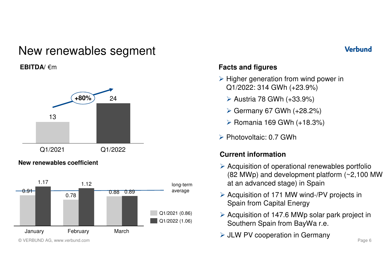### New renewables segment

#### **EBITDA/** €m



#### **New renewables coefficient**



#### **Verbund**

#### **Facts and figures**

- Higher generation from wind power in<br>
CA/2022: 214 CWb (: 22.0%) Q1/2022: 314 GWh (+23.9%)
	- Austria 78 GWh (+33.9%)
	- Germany 67 GWh (+28.2%)
	- Romania 169 GWh (+18.3%)
- Photovoltaic: 0.7 GWh

#### **Current information**

- Acquisition of operational renewables portfolio<br>Acquisition of development platform (a 2,100 M) (82 MWp) and development platform (~2,100 MW at an advanced stage) in Spain
- Acquisition of 171 MW wind-/PV projects in<br>
Spain from Capital Energy Spain from Capital Energy
- Acquisition of 147.6 MWp solar park project in <br>Couthern Spoin from Boulle r.c. Southern Spain from BayWa r.e.
- JLW PV cooperation in Germany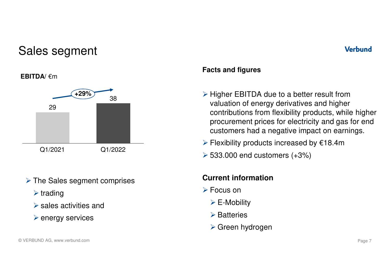### Sales segment



- > The Sales segment comprises
	- $\blacktriangleright$  trading
	- $\triangleright$  sales activities and
	- $\triangleright$  energy services

## **EBITDA/** €m

#### © VERBUND AG, www.verbund.com

### **Facts and figures**

- Higher EBITDA due to a better result from valuation of energy derivatives and higher contributions from flexibility products, while higher procurement prices for electricity and gas for end customers had a negative impact on earnings.
- Flexibility products increased by €18.4m
- 533.000 end customers (+3%)

#### **Current information**

- Focus on
	- E-Mobility
	- **≻** Batteries
	- Green hydrogen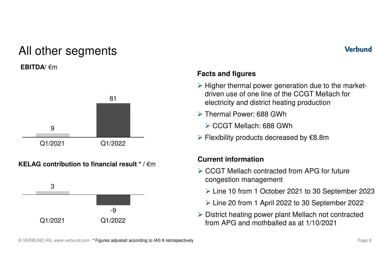### All other segments

#### **EBITDA/** €m







#### **Verbund**

#### **Facts and figures**

- $\triangleright$  Higher thermal power generation due to the market-<br>driven use of ano line of the CCCT Mellech for driven use of one line of the CCGT Mellach for electricity and district heating production
- > Thermal Power: 688 GWh
	- CCGT Mellach: 688 GWh
- Flexibility products decreased by €8.8m

#### **Current information**

- CCGT Mellach contracted from APG for future congestion management
	- Line 10 from 1 October 2021 to 30 September 2023
	- Line 20 from 1 April 2022 to 30 September 2022
- District heating power plant Mellach not contracted<br>from ADC and mathbollad as at 1/10/2021 from APG and mothballed as at 1/10/2021

© VERBUND AG, www.verbund.com \* Figures adjusted according to IAS 8 retrospectively and the state of the state of the state of the Page 8 state of the Sage 8 state of the state of the state of the state of the state of the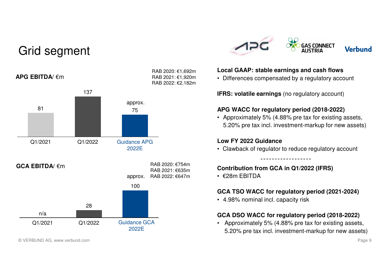### Grid segment



© VERBUND AG, www.verbund.com



#### **Local GAAP: stable earnings and cash flows**

• Differences compensated by a regulatory account

**IFRS: volatile earnings** (no regulatory account)

#### **APG WACC for regulatory period (2018-2022)**

• Approximately 5% (4.88% pre tax for existing assets, 5.20% pre tax incl. investment-markup for new assets)

#### **Low FY 2022 Guidance**

• Clawback of regulator to reduce regulatory account

#### **Contribution from GCA in Q1/2022 (IFRS)**

• €28m EBITDA

#### **GCA TSO WACC for regulatory period (2021-2024)**

• 4.98% nominal incl. capacity risk

#### **GCA DSO WACC for regulatory period (2018-2022)**

• Approximately 5% (4.88% pre tax for existing assets, 5.20% pre tax incl. investment-markup for new assets)

#### Page 9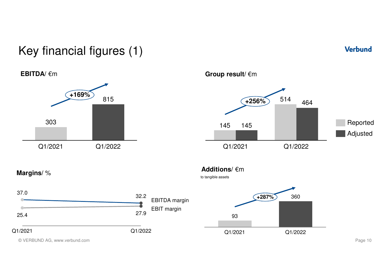## Key financial figures (1)







#### **Group result/** €m



#### **Additions/** €m

to tangible assets



© VERBUND AG, www.verbund.com

**Margins/** %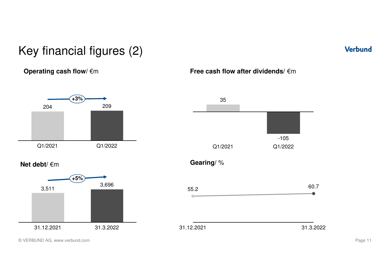## Key financial figures (2)

**+3%**

#### **Operating cash flow/ €m**



**Free cash flow after dividends/** €m



© VERBUND AG, www.verbund.com

Page 11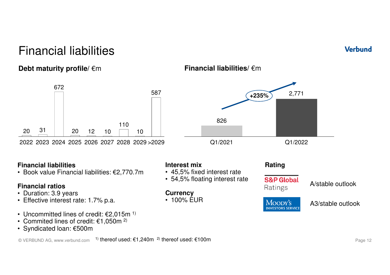### Financial liabilities

### **Debt maturity profile/** €m



#### **Financial liabilities**

• Book value Financial liabilities: €2,770.7m

#### **Financial ratios**

- Duration: 3.9 years
- Effective interest rate: 1.7% p.a.
- Uncommitted lines of credit:  $\epsilon$ 2,015m <sup>1)</sup>
- Commited lines of credit:  $€1,050$ m  $^{2)}$
- Syndicated loan: €500m

- 
- 
- 100% EUR



### **Financial liabilities/** €m

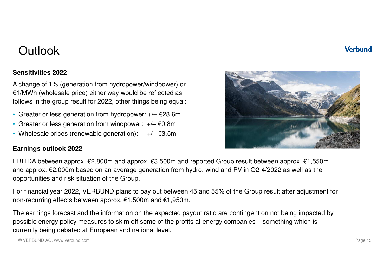#### **Verbund**

### **Outlook**

#### **Sensitivities 2022**

A change of 1% (generation from hydropower/windpower) or €1/MWh (wholesale price) either way would be reflected as follows in the group result for 2022, other things being equal:

- Greater or less generation from hydropower: +/– €28.6m
- Greater or less generation from windpower: +/– €0.8m
- $+/- \text{\textsterling}3.5m$ • Wholesale prices (renewable generation):  $+/- \epsilon$ 3.5m

#### **Earnings outlook 2022**

EBITDA between approx. €2,800m and approx. €3,500m and reported Group result between approx. €1,550m and approx. €2,000m based on an average generation from hydro, wind and PV in Q2-4/2022 as well as theopportunities and risk situation of the Group.

For financial year 2022, VERBUND plans to pay out between 45 and 55% of the Group result after adjustment for non-recurring effects between approx. €1,500m and €1,950m.

The earnings forecast and the information on the expected payout ratio are contingent on not being impacted by possible energy policy measures to skim off some of the profits at energy companies – something which is currently being debated at European and national level.

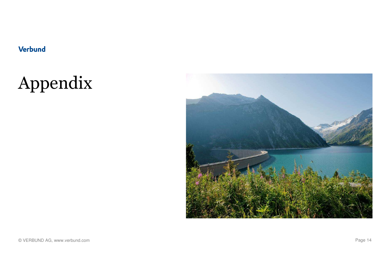### **Verbund**

# Appendix

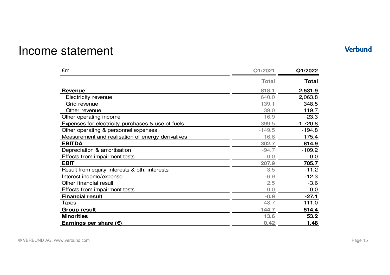### Income statement

#### €m **Q1/2021 Q1/2022 Total Total Revenue 818.1 2,531.9** Electricity revenuee 640.0 2,063.8 Grid revenuee 139.1 348.5 Other revenuee 39.0 119.7 Other operating incomee 16.9 23.3 Expenses for electricity purchases & use of fuels $-399.5$ <br> $-149.5$  -1,720.8 Other operating & personnel expenses -149.5 $\frac{49.5}{16.6}$  -194.8 Measurement and realisation of energy derivatives<u>s 16.6</u>  $\frac{16.6}{302.7}$  175.4 **EBITDA 302.7 814.9** Depreciation & amortisation -94.7 -109.2 Effects from impairment tests $\sim$  0.0  $\frac{0.0}{207.9}$   $\frac{0.0}{705.7}$ **EBIT 207.9 705.7** Result from equity interests & oth. interests $\sim$  3.5  $3.5$  -11.2<br>-6.9 -12.3 Interest income/expense $e$  -6.9 -12.3 Other financial resultt  $2.5$  $2.5$   $-3.6$ <br>0.0 0.0 Effects from impairment testss  $0.0$  $\frac{0.0}{-0.9}$   $\frac{0.0}{-27.1}$ **Financial result**  $-0.9$   $-27.1$ <br> $-48.7$   $-111.0$ Taxes**s**  $-48.7$  $\frac{-48.7}{144.7}$   $\frac{-111.0}{514.4}$ **Group result 144.7514.4**<br>13.6 **53.2 Minorities 13.6 53.2 Earnings per share (€) 0.421.48**

#### Page 15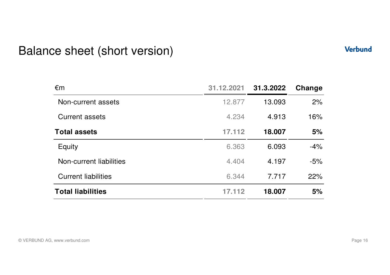### Balance sheet (short version)

| $\epsilon$ m               | 31.12.2021 | 31.3.2022 | Change |
|----------------------------|------------|-----------|--------|
| Non-current assets         | 12.877     | 13.093    | 2%     |
| <b>Current assets</b>      | 4.234      | 4.913     | 16%    |
| <b>Total assets</b>        | 17.112     | 18.007    | 5%     |
| Equity                     | 6.363      | 6.093     | $-4%$  |
| Non-current liabilities    | 4.404      | 4.197     | $-5%$  |
| <b>Current liabilities</b> | 6.344      | 7.717     | 22%    |
| <b>Total liabilities</b>   | 17.112     | 18.007    | 5%     |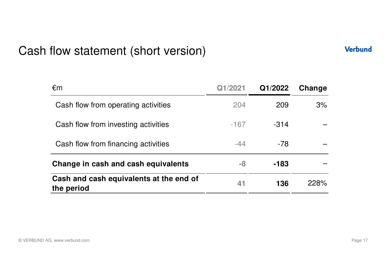### Cash flow statement (short version)

€m **Q1/2021 Q1/2022 Change** Cash flow from operating activities $\sim$  204 <sup>209</sup> 3%Cash flow from investing activities -167 -314 – Cash flow from financing activities $\sim$  -44 -78 – **Change in cash and cash equivalents -8 -183** – **Cash and cash equivalents at the end of the period<sup>41</sup> <sup>136</sup>** 228%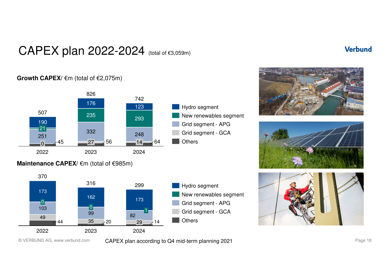### CAPEX plan 2022-2024 (total of €3,059m)

#### **Growth CAPEX/** €m (total of €2,075m)



#### **Maintenance CAPEX/ €m (total of €985m)**









© VERBUND AG, www.verbund.com

CAPEX plan according to Q4 mid-term planning 2021 CAPEX planning  $P_{\text{age 18}}$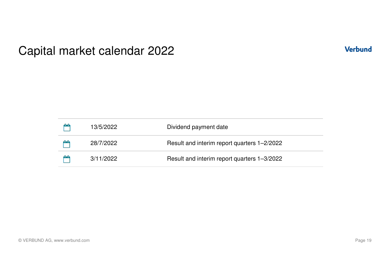### Capital market calendar 2022

| 13/5/2022 | Dividend payment date                       |
|-----------|---------------------------------------------|
| 28/7/2022 | Result and interim report quarters 1-2/2022 |
| 3/11/2022 | Result and interim report quarters 1-3/2022 |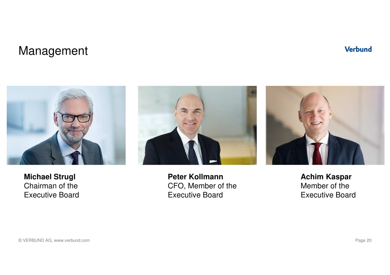### Management



**Michael Strugl** Chairman of theExecutive Board



**Peter Kollmann** CFO, Member of theExecutive Board



**Achim Kaspar** Member of theExecutive Board